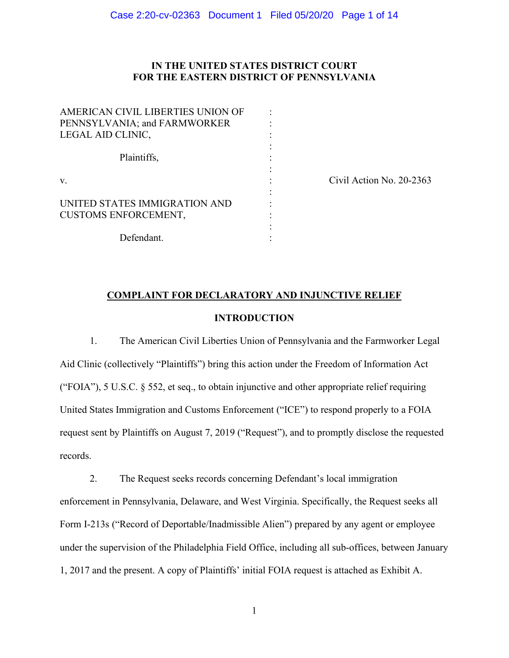# **IN THE UNITED STATES DISTRICT COURT FOR THE EASTERN DISTRICT OF PENNSYLVANIA**

| AMERICAN CIVIL LIBERTIES UNION OF |  |
|-----------------------------------|--|
| PENNSYLVANIA; and FARMWORKER      |  |
| LEGAL AID CLINIC,                 |  |
|                                   |  |
| Plaintiffs,                       |  |
|                                   |  |
| V.                                |  |
| UNITED STATES IMMIGRATION AND     |  |
| <b>CUSTOMS ENFORCEMENT,</b>       |  |
|                                   |  |
| Defendant.                        |  |

v. Civil Action No. 20-2363

# **COMPLAINT FOR DECLARATORY AND INJUNCTIVE RELIEF**

# **INTRODUCTION**

1. The American Civil Liberties Union of Pennsylvania and the Farmworker Legal Aid Clinic (collectively "Plaintiffs") bring this action under the Freedom of Information Act ("FOIA"), 5 U.S.C. § 552, et seq., to obtain injunctive and other appropriate relief requiring United States Immigration and Customs Enforcement ("ICE") to respond properly to a FOIA request sent by Plaintiffs on August 7, 2019 ("Request"), and to promptly disclose the requested records.

2. The Request seeks records concerning Defendant's local immigration enforcement in Pennsylvania, Delaware, and West Virginia. Specifically, the Request seeks all Form I-213s ("Record of Deportable/Inadmissible Alien") prepared by any agent or employee under the supervision of the Philadelphia Field Office, including all sub-offices, between January 1, 2017 and the present. A copy of Plaintiffs' initial FOIA request is attached as Exhibit A.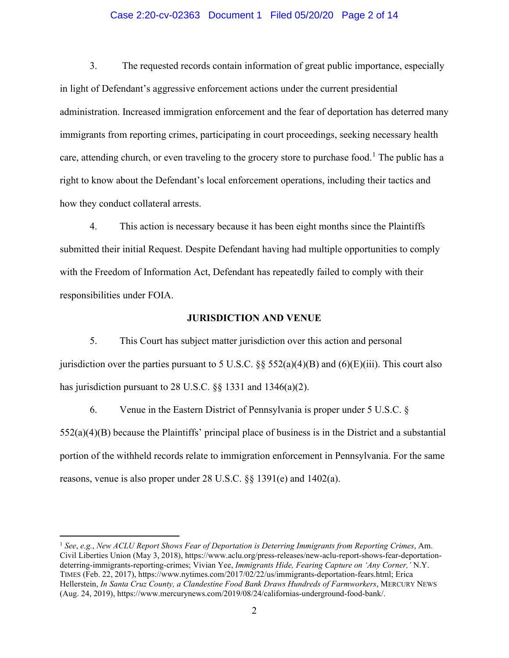## Case 2:20-cv-02363 Document 1 Filed 05/20/20 Page 2 of 14

3. The requested records contain information of great public importance, especially in light of Defendant's aggressive enforcement actions under the current presidential administration. Increased immigration enforcement and the fear of deportation has deterred many immigrants from reporting crimes, participating in court proceedings, seeking necessary health care, attending church, or even traveling to the grocery store to purchase food.<sup>[1](#page-1-0)</sup> The public has a right to know about the Defendant's local enforcement operations, including their tactics and how they conduct collateral arrests.

4. This action is necessary because it has been eight months since the Plaintiffs submitted their initial Request. Despite Defendant having had multiple opportunities to comply with the Freedom of Information Act, Defendant has repeatedly failed to comply with their responsibilities under FOIA.

### **JURISDICTION AND VENUE**

5. This Court has subject matter jurisdiction over this action and personal jurisdiction over the parties pursuant to 5 U.S.C.  $\S$   $\S$  552(a)(4)(B) and (6)(E)(iii). This court also has jurisdiction pursuant to 28 U.S.C. §§ 1331 and 1346(a)(2).

6. Venue in the Eastern District of Pennsylvania is proper under 5 U.S.C. § 552(a)(4)(B) because the Plaintiffs' principal place of business is in the District and a substantial portion of the withheld records relate to immigration enforcement in Pennsylvania. For the same reasons, venue is also proper under 28 U.S.C. §§ 1391(e) and 1402(a).

<span id="page-1-0"></span><sup>1</sup> *See*, *e.g.*, *New ACLU Report Shows Fear of Deportation is Deterring Immigrants from Reporting Crimes*, Am. Civil Liberties Union (May 3, 2018), https://www.aclu.org/press-releases/new-aclu-report-shows-fear-deportationdeterring-immigrants-reporting-crimes; Vivian Yee, *Immigrants Hide, Fearing Capture on 'Any Corner,'* N.Y. TIMES (Feb. 22, 2017), https://www.nytimes.com/2017/02/22/us/immigrants-deportation-fears.html; Erica Hellerstein, *In Santa Cruz County, a Clandestine Food Bank Draws Hundreds of Farmworkers*, MERCURY NEWS (Aug. 24, 2019), https://www.mercurynews.com/2019/08/24/californias-underground-food-bank/.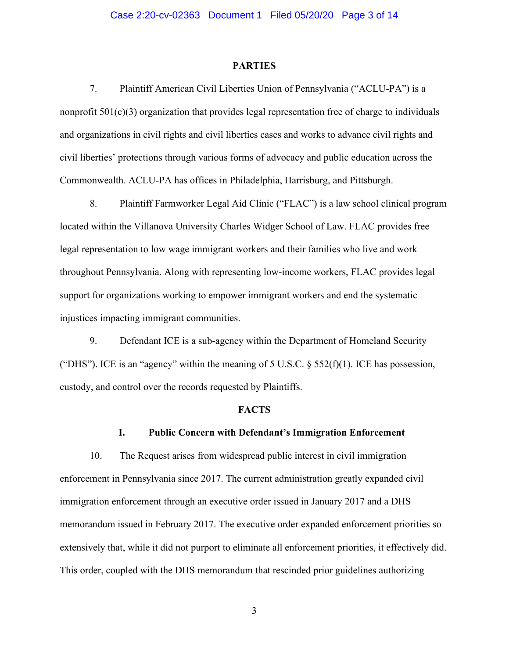#### **PARTIES**

7. Plaintiff American Civil Liberties Union of Pennsylvania ("ACLU-PA") is a nonprofit 501(c)(3) organization that provides legal representation free of charge to individuals and organizations in civil rights and civil liberties cases and works to advance civil rights and civil liberties' protections through various forms of advocacy and public education across the Commonwealth. ACLU-PA has offices in Philadelphia, Harrisburg, and Pittsburgh.

8. Plaintiff Farmworker Legal Aid Clinic ("FLAC") is a law school clinical program located within the Villanova University Charles Widger School of Law. FLAC provides free legal representation to low wage immigrant workers and their families who live and work throughout Pennsylvania. Along with representing low-income workers, FLAC provides legal support for organizations working to empower immigrant workers and end the systematic injustices impacting immigrant communities.

9. Defendant ICE is a sub-agency within the Department of Homeland Security ("DHS"). ICE is an "agency" within the meaning of 5 U.S.C.  $\S$  552(f)(1). ICE has possession, custody, and control over the records requested by Plaintiffs.

#### **FACTS**

#### **I. Public Concern with Defendant's Immigration Enforcement**

10. The Request arises from widespread public interest in civil immigration enforcement in Pennsylvania since 2017. The current administration greatly expanded civil immigration enforcement through an executive order issued in January 2017 and a DHS memorandum issued in February 2017. The executive order expanded enforcement priorities so extensively that, while it did not purport to eliminate all enforcement priorities, it effectively did. This order, coupled with the DHS memorandum that rescinded prior guidelines authorizing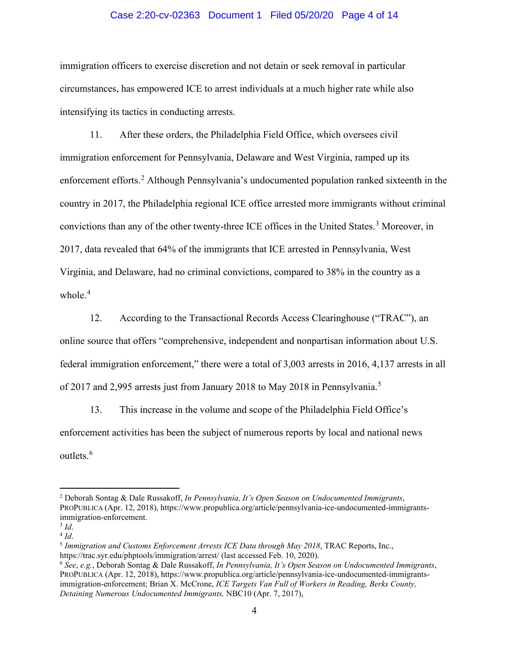### Case 2:20-cv-02363 Document 1 Filed 05/20/20 Page 4 of 14

immigration officers to exercise discretion and not detain or seek removal in particular circumstances, has empowered ICE to arrest individuals at a much higher rate while also intensifying its tactics in conducting arrests.

11. After these orders, the Philadelphia Field Office, which oversees civil immigration enforcement for Pennsylvania, Delaware and West Virginia, ramped up its enforcement efforts. [2](#page-3-0) Although Pennsylvania's undocumented population ranked sixteenth in the country in 2017, the Philadelphia regional ICE office arrested more immigrants without criminal convictions than any of the other twenty-three ICE offices in the United States.<sup>[3](#page-3-1)</sup> Moreover, in 2017, data revealed that 64% of the immigrants that ICE arrested in Pennsylvania, West Virginia, and Delaware, had no criminal convictions, compared to 38% in the country as a whole.<sup>[4](#page-3-2)</sup>

12. According to the Transactional Records Access Clearinghouse ("TRAC"), an online source that offers "comprehensive, independent and nonpartisan information about U.S. federal immigration enforcement," there were a total of 3,003 arrests in 2016, 4,137 arrests in all of 2017 and 2,99[5](#page-3-3) arrests just from January 2018 to May 2018 in Pennsylvania.<sup>5</sup>

13. This increase in the volume and scope of the Philadelphia Field Office's enforcement activities has been the subject of numerous reports by local and national news outlets.<sup>[6](#page-3-4)</sup>

<span id="page-3-0"></span><sup>2</sup> Deborah Sontag & Dale Russakoff, *In Pennsylvania, It's Open Season on Undocumented Immigrants*, PROPUBLICA (Apr. 12, 2018), https://www.propublica.org/article/pennsylvania-ice-undocumented-immigrantsimmigration-enforcement.

<span id="page-3-2"></span><span id="page-3-1"></span> $\frac{3}{4}$  *Id*.

<span id="page-3-3"></span><sup>&</sup>lt;sup>5</sup> *Immigration and Customs Enforcement Arrests ICE Data through May 2018*, TRAC Reports, Inc., https://trac.syr.edu/phptools/immigration/arrest/ (last accessed Feb. 10, 2020).

<span id="page-3-4"></span><sup>6</sup> *See*, *e.g.*, Deborah Sontag & Dale Russakoff, *In Pennsylvania, It's Open Season on Undocumented Immigrants*, PROPUBLICA (Apr. 12, 2018), https://www.propublica.org/article/pennsylvania-ice-undocumented-immigrantsimmigration-enforcement; Brian X. McCrone, *ICE Targets Van Full of Workers in Reading, Berks County, Detaining Numerous Undocumented Immigrants,* NBC10 (Apr. 7, 2017),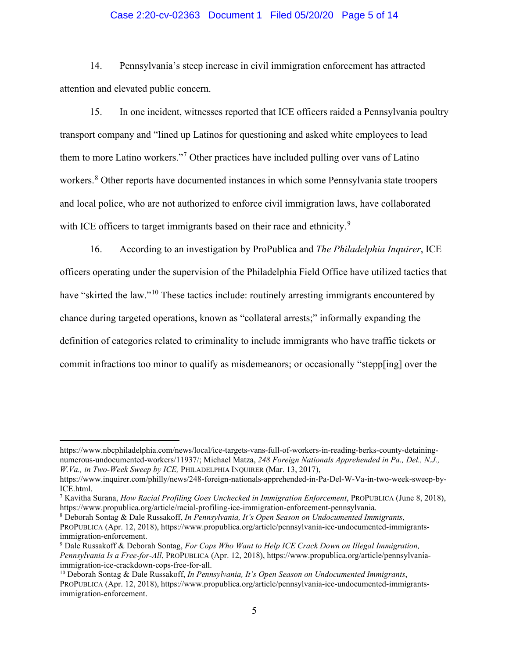## Case 2:20-cv-02363 Document 1 Filed 05/20/20 Page 5 of 14

14. Pennsylvania's steep increase in civil immigration enforcement has attracted attention and elevated public concern.

15. In one incident, witnesses reported that ICE officers raided a Pennsylvania poultry transport company and "lined up Latinos for questioning and asked white employees to lead them to more Latino workers."[7](#page-4-0) Other practices have included pulling over vans of Latino workers. [8](#page-4-1) Other reports have documented instances in which some Pennsylvania state troopers and local police, who are not authorized to enforce civil immigration laws, have collaborated with ICE officers to target immigrants based on their race and ethnicity.<sup>[9](#page-4-2)</sup>

16. According to an investigation by ProPublica and *The Philadelphia Inquirer*, ICE officers operating under the supervision of the Philadelphia Field Office have utilized tactics that have "skirted the law."<sup>[10](#page-4-3)</sup> These tactics include: routinely arresting immigrants encountered by chance during targeted operations, known as "collateral arrests;" informally expanding the definition of categories related to criminality to include immigrants who have traffic tickets or commit infractions too minor to qualify as misdemeanors; or occasionally "stepp[ing] over the

https://www.nbcphiladelphia.com/news/local/ice-targets-vans-full-of-workers-in-reading-berks-county-detainingnumerous-undocumented-workers/11937/; Michael Matza, *248 Foreign Nationals Apprehended in Pa., Del., N.J., W.Va., in Two-Week Sweep by ICE,* PHILADELPHIA INQUIRER (Mar. 13, 2017),

https://www.inquirer.com/philly/news/248-foreign-nationals-apprehended-in-Pa-Del-W-Va-in-two-week-sweep-by-ICE.html.

<span id="page-4-0"></span><sup>7</sup> Kavitha Surana, *How Racial Profiling Goes Unchecked in Immigration Enforcement*, PROPUBLICA (June 8, 2018), https://www.propublica.org/article/racial-profiling-ice-immigration-enforcement-pennsylvania.

<span id="page-4-1"></span><sup>8</sup> Deborah Sontag & Dale Russakoff, *In Pennsylvania, It's Open Season on Undocumented Immigrants*, PROPUBLICA (Apr. 12, 2018), https://www.propublica.org/article/pennsylvania-ice-undocumented-immigrantsimmigration-enforcement.<br><sup>9</sup> Dale Russakoff & Deborah Sontag, *For Cops Who Want to Help ICE Crack Down on Illegal Immigration*,

<span id="page-4-2"></span>*Pennsylvania Is a Free-for-All*, PROPUBLICA (Apr. 12, 2018), https://www.propublica.org/article/pennsylvaniaimmigration-ice-crackdown-cops-free-for-all.

<span id="page-4-3"></span><sup>10</sup> Deborah Sontag & Dale Russakoff, *In Pennsylvania, It's Open Season on Undocumented Immigrants*, PROPUBLICA (Apr. 12, 2018), https://www.propublica.org/article/pennsylvania-ice-undocumented-immigrantsimmigration-enforcement.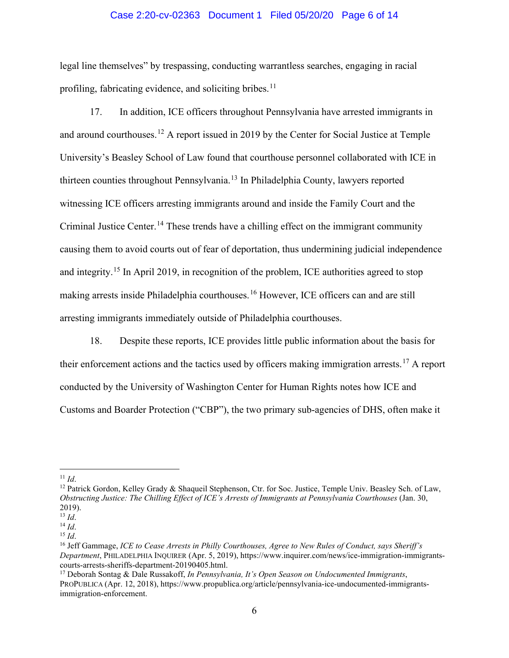### Case 2:20-cv-02363 Document 1 Filed 05/20/20 Page 6 of 14

legal line themselves" by trespassing, conducting warrantless searches, engaging in racial profiling, fabricating evidence, and soliciting bribes.<sup>[11](#page-5-0)</sup>

17. In addition, ICE officers throughout Pennsylvania have arrested immigrants in and around courthouses.<sup>[12](#page-5-1)</sup> A report issued in 2019 by the Center for Social Justice at Temple University's Beasley School of Law found that courthouse personnel collaborated with ICE in thirteen counties throughout Pennsylvania.[13](#page-5-2) In Philadelphia County, lawyers reported witnessing ICE officers arresting immigrants around and inside the Family Court and the Criminal Justice Center.<sup>[14](#page-5-3)</sup> These trends have a chilling effect on the immigrant community causing them to avoid courts out of fear of deportation, thus undermining judicial independence and integrity.[15](#page-5-4) In April 2019, in recognition of the problem, ICE authorities agreed to stop making arrests inside Philadelphia courthouses.<sup>[16](#page-5-5)</sup> However, ICE officers can and are still arresting immigrants immediately outside of Philadelphia courthouses.

18. Despite these reports, ICE provides little public information about the basis for their enforcement actions and the tactics used by officers making immigration arrests.<sup>[17](#page-5-6)</sup> A report conducted by the University of Washington Center for Human Rights notes how ICE and Customs and Boarder Protection ("CBP"), the two primary sub-agencies of DHS, often make it

<span id="page-5-1"></span><span id="page-5-0"></span><sup>&</sup>lt;sup>11</sup> *Id.* 14.<br><sup>12</sup> Patrick Gordon, Kelley Grady & Shaqueil Stephenson, Ctr. for Soc. Justice, Temple Univ. Beasley Sch. of Law, *Obstructing Justice: The Chilling Effect of ICE's Arrests of Immigrants at Pennsylvania Courthouses* (Jan. 30, 2019).

<span id="page-5-2"></span> $\frac{13}{14}$  *Id.* 

<span id="page-5-5"></span><span id="page-5-4"></span><span id="page-5-3"></span><sup>&</sup>lt;sup>15</sup> *Id.* 15 *Id.* 15 *Id.* 15 *Id.* 15 *Id.* 16 *ICE to Cease Arrests in Philly Courthouses, Agree to New Rules of Conduct, says Sheriff's i Department*, PHILADELPHIA INQUIRER (Apr. 5, 2019), https://www.inquirer.com/news/ice-immigration-immigrantscourts-arrests-sheriffs-department-20190405.html. 17 Deborah Sontag & Dale Russakoff, *In Pennsylvania, It's Open Season on Undocumented Immigrants*,

<span id="page-5-6"></span>PROPUBLICA (Apr. 12, 2018), https://www.propublica.org/article/pennsylvania-ice-undocumented-immigrantsimmigration-enforcement.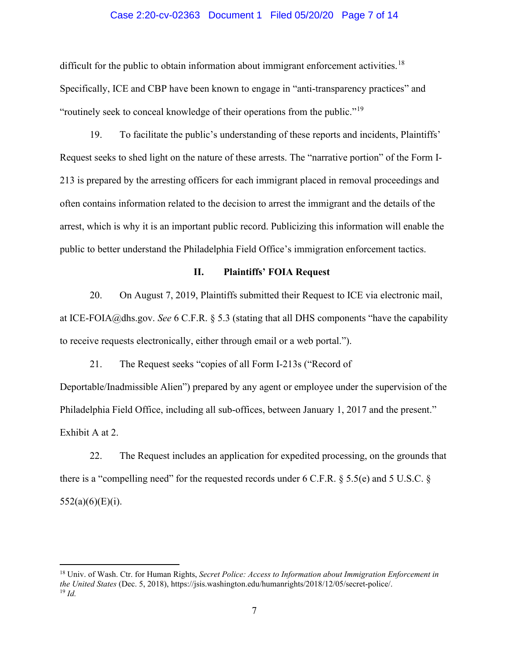### Case 2:20-cv-02363 Document 1 Filed 05/20/20 Page 7 of 14

difficult for the public to obtain information about immigrant enforcement activities.<sup>[18](#page-6-0)</sup> Specifically, ICE and CBP have been known to engage in "anti-transparency practices" and "routinely seek to conceal knowledge of their operations from the public."[19](#page-6-1) 

19. To facilitate the public's understanding of these reports and incidents, Plaintiffs' Request seeks to shed light on the nature of these arrests. The "narrative portion" of the Form I-213 is prepared by the arresting officers for each immigrant placed in removal proceedings and often contains information related to the decision to arrest the immigrant and the details of the arrest, which is why it is an important public record. Publicizing this information will enable the public to better understand the Philadelphia Field Office's immigration enforcement tactics.

# **II. Plaintiffs' FOIA Request**

20. On August 7, 2019, Plaintiffs submitted their Request to ICE via electronic mail, at ICE-FOIA@dhs.gov. *See* 6 C.F.R. § 5.3 (stating that all DHS components "have the capability to receive requests electronically, either through email or a web portal.").

21. The Request seeks "copies of all Form I-213s ("Record of Deportable/Inadmissible Alien") prepared by any agent or employee under the supervision of the Philadelphia Field Office, including all sub-offices, between January 1, 2017 and the present." Exhibit A at 2.

22. The Request includes an application for expedited processing, on the grounds that there is a "compelling need" for the requested records under 6 C.F.R. § 5.5(e) and 5 U.S.C. §  $552(a)(6)(E)(i)$ .

<span id="page-6-1"></span><span id="page-6-0"></span><sup>18</sup> Univ. of Wash. Ctr. for Human Rights, *Secret Police: Access to Information about Immigration Enforcement in the United States* (Dec. 5, 2018), https://jsis.washington.edu/humanrights/2018/12/05/secret-police/. <sup>19</sup> *Id.*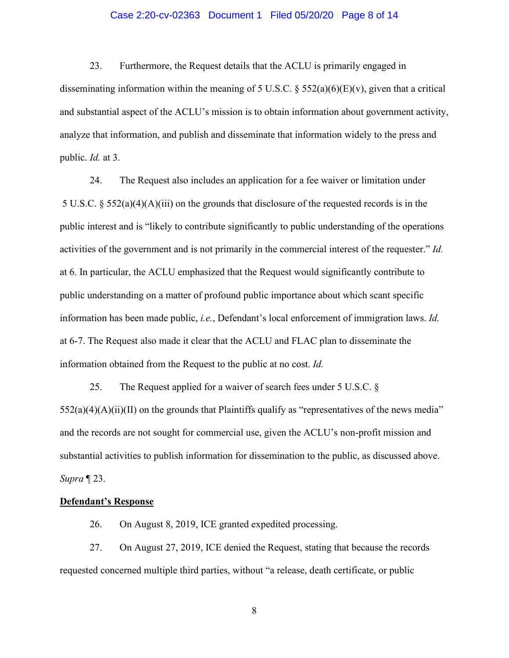## Case 2:20-cv-02363 Document 1 Filed 05/20/20 Page 8 of 14

23. Furthermore, the Request details that the ACLU is primarily engaged in disseminating information within the meaning of 5 U.S.C.  $\S$  552(a)(6)(E)(v), given that a critical and substantial aspect of the ACLU's mission is to obtain information about government activity, analyze that information, and publish and disseminate that information widely to the press and public. *Id.* at 3.

24. The Request also includes an application for a fee waiver or limitation under 5 U.S.C. § 552(a)(4)(A)(iii) on the grounds that disclosure of the requested records is in the public interest and is "likely to contribute significantly to public understanding of the operations activities of the government and is not primarily in the commercial interest of the requester." *Id.*  at 6. In particular, the ACLU emphasized that the Request would significantly contribute to public understanding on a matter of profound public importance about which scant specific information has been made public, *i.e.*, Defendant's local enforcement of immigration laws. *Id.*  at 6-7. The Request also made it clear that the ACLU and FLAC plan to disseminate the information obtained from the Request to the public at no cost. *Id.* 

25. The Request applied for a waiver of search fees under 5 U.S.C. §  $552(a)(4)(A)(ii)(II)$  on the grounds that Plaintiffs qualify as "representatives of the news media" and the records are not sought for commercial use, given the ACLU's non-profit mission and substantial activities to publish information for dissemination to the public, as discussed above. *Supra* ¶ 23.

# **Defendant's Response**

26. On August 8, 2019, ICE granted expedited processing.

27. On August 27, 2019, ICE denied the Request, stating that because the records requested concerned multiple third parties, without "a release, death certificate, or public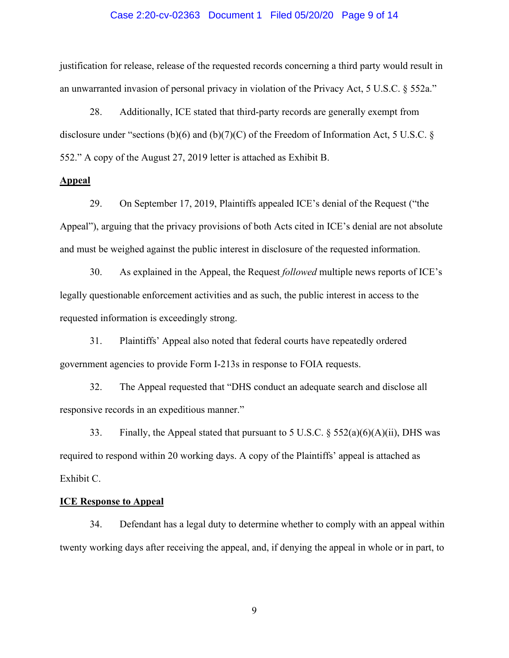#### Case 2:20-cv-02363 Document 1 Filed 05/20/20 Page 9 of 14

justification for release, release of the requested records concerning a third party would result in an unwarranted invasion of personal privacy in violation of the Privacy Act, 5 U.S.C. § 552a."

28. Additionally, ICE stated that third-party records are generally exempt from disclosure under "sections (b)(6) and (b)(7)(C) of the Freedom of Information Act, 5 U.S.C. § 552." A copy of the August 27, 2019 letter is attached as Exhibit B.

# **Appeal**

29. On September 17, 2019, Plaintiffs appealed ICE's denial of the Request ("the Appeal"), arguing that the privacy provisions of both Acts cited in ICE's denial are not absolute and must be weighed against the public interest in disclosure of the requested information.

30. As explained in the Appeal, the Request *followed* multiple news reports of ICE's legally questionable enforcement activities and as such, the public interest in access to the requested information is exceedingly strong.

31. Plaintiffs' Appeal also noted that federal courts have repeatedly ordered government agencies to provide Form I-213s in response to FOIA requests.

32. The Appeal requested that "DHS conduct an adequate search and disclose all responsive records in an expeditious manner."

33. Finally, the Appeal stated that pursuant to 5 U.S.C.  $\S$  552(a)(6)(A)(ii), DHS was required to respond within 20 working days. A copy of the Plaintiffs' appeal is attached as Exhibit C.

#### **ICE Response to Appeal**

34. Defendant has a legal duty to determine whether to comply with an appeal within twenty working days after receiving the appeal, and, if denying the appeal in whole or in part, to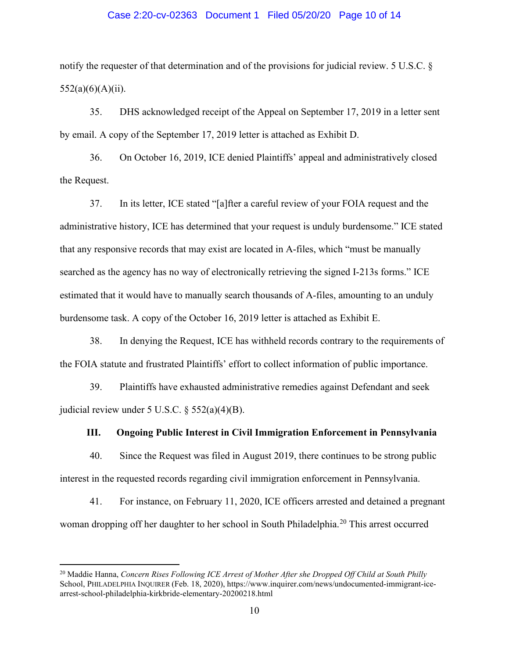### Case 2:20-cv-02363 Document 1 Filed 05/20/20 Page 10 of 14

notify the requester of that determination and of the provisions for judicial review. 5 U.S.C. §  $552(a)(6)(A)(ii)$ .

35. DHS acknowledged receipt of the Appeal on September 17, 2019 in a letter sent by email. A copy of the September 17, 2019 letter is attached as Exhibit D.

36. On October 16, 2019, ICE denied Plaintiffs' appeal and administratively closed the Request.

37. In its letter, ICE stated "[a]fter a careful review of your FOIA request and the administrative history, ICE has determined that your request is unduly burdensome." ICE stated that any responsive records that may exist are located in A-files, which "must be manually searched as the agency has no way of electronically retrieving the signed I-213s forms." ICE estimated that it would have to manually search thousands of A-files, amounting to an unduly burdensome task. A copy of the October 16, 2019 letter is attached as Exhibit E.

38. In denying the Request, ICE has withheld records contrary to the requirements of the FOIA statute and frustrated Plaintiffs' effort to collect information of public importance.

39. Plaintiffs have exhausted administrative remedies against Defendant and seek judicial review under 5 U.S.C. § 552(a)(4)(B).

# **III. Ongoing Public Interest in Civil Immigration Enforcement in Pennsylvania**

40. Since the Request was filed in August 2019, there continues to be strong public interest in the requested records regarding civil immigration enforcement in Pennsylvania.

41. For instance, on February 11, 2020, ICE officers arrested and detained a pregnant woman dropping off her daughter to her school in South Philadelphia.<sup>[20](#page-9-0)</sup> This arrest occurred

<span id="page-9-0"></span><sup>20</sup> Maddie Hanna, *Concern Rises Following ICE Arrest of Mother After she Dropped Off Child at South Philly*  School, PHILADELPHIA INQUIRER (Feb. 18, 2020), https://www.inquirer.com/news/undocumented-immigrant-icearrest-school-philadelphia-kirkbride-elementary-20200218.html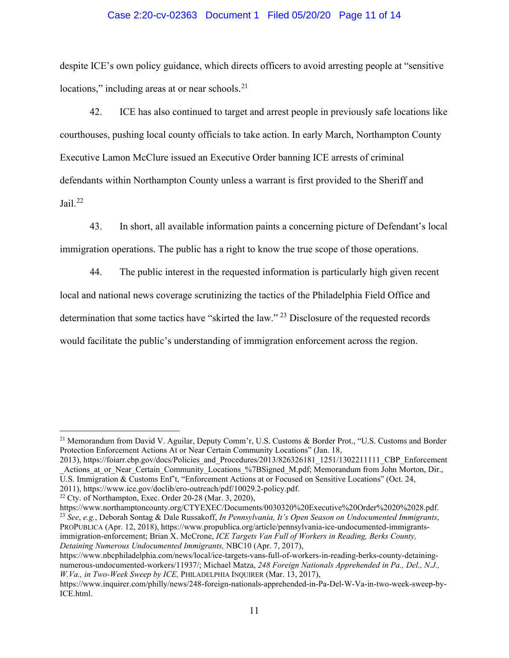### Case 2:20-cv-02363 Document 1 Filed 05/20/20 Page 11 of 14

despite ICE's own policy guidance, which directs officers to avoid arresting people at "sensitive locations," including areas at or near schools. $21$ 

42. ICE has also continued to target and arrest people in previously safe locations like courthouses, pushing local county officials to take action. In early March, Northampton County Executive Lamon McClure issued an Executive Order banning ICE arrests of criminal defendants within Northampton County unless a warrant is first provided to the Sheriff and Jail. $^{22}$  $^{22}$  $^{22}$ 

43. In short, all available information paints a concerning picture of Defendant's local immigration operations. The public has a right to know the true scope of those operations.

44. The public interest in the requested information is particularly high given recent local and national news coverage scrutinizing the tactics of the Philadelphia Field Office and determination that some tactics have "skirted the law."<sup>[23](#page-10-2)</sup> Disclosure of the requested records would facilitate the public's understanding of immigration enforcement across the region.

PROPUBLICA (Apr. 12, 2018), https://www.propublica.org/article/pennsylvania-ice-undocumented-immigrantsimmigration-enforcement; Brian X. McCrone, *ICE Targets Van Full of Workers in Reading, Berks County, Detaining Numerous Undocumented Immigrants,* NBC10 (Apr. 7, 2017),

<span id="page-10-0"></span><sup>&</sup>lt;sup>21</sup> Memorandum from David V. Aguilar, Deputy Comm'r, U.S. Customs & Border Prot., "U.S. Customs and Border Protection Enforcement Actions At or Near Certain Community Locations" (Jan. 18,

<sup>2013),</sup> https://foiarr.cbp.gov/docs/Policies\_and\_Procedures/2013/826326181\_1251/1302211111\_CBP\_Enforcement \_Actions\_at\_or\_Near\_Certain\_Community\_Locations\_%7BSigned\_M.pdf; Memorandum from John Morton, Dir., U.S. Immigration & Customs Enf't, "Enforcement Actions at or Focused on Sensitive Locations" (Oct. 24, 2011), https://www.ice.gov/doclib/ero-outreach/pdf/10029.2-policy.pdf.

<span id="page-10-1"></span><sup>22</sup> Cty. of Northampton, Exec. Order 20-28 (Mar. 3, 2020),

<span id="page-10-2"></span>https://www.northamptoncounty.org/CTYEXEC/Documents/0030320%20Executive%20Order%2020%2028.pdf. <sup>23</sup> *See*, *e.g.*, Deborah Sontag & Dale Russakoff, *In Pennsylvania, It's Open Season on Undocumented Immigrants*,

https://www.nbcphiladelphia.com/news/local/ice-targets-vans-full-of-workers-in-reading-berks-county-detainingnumerous-undocumented-workers/11937/; Michael Matza, *248 Foreign Nationals Apprehended in Pa., Del., N.J., W.Va., in Two-Week Sweep by ICE,* PHILADELPHIA INQUIRER (Mar. 13, 2017),

https://www.inquirer.com/philly/news/248-foreign-nationals-apprehended-in-Pa-Del-W-Va-in-two-week-sweep-by-ICE.html.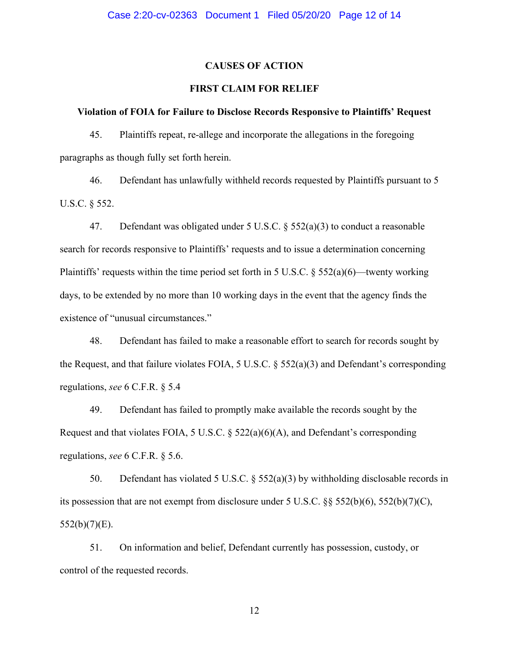# **CAUSES OF ACTION**

# **FIRST CLAIM FOR RELIEF**

#### **Violation of FOIA for Failure to Disclose Records Responsive to Plaintiffs' Request**

45. Plaintiffs repeat, re-allege and incorporate the allegations in the foregoing paragraphs as though fully set forth herein.

46. Defendant has unlawfully withheld records requested by Plaintiffs pursuant to 5 U.S.C. § 552.

47. Defendant was obligated under 5 U.S.C. § 552(a)(3) to conduct a reasonable search for records responsive to Plaintiffs' requests and to issue a determination concerning Plaintiffs' requests within the time period set forth in 5 U.S.C.  $\S$  552(a)(6)—twenty working days, to be extended by no more than 10 working days in the event that the agency finds the existence of "unusual circumstances."

48. Defendant has failed to make a reasonable effort to search for records sought by the Request, and that failure violates FOIA, 5 U.S.C. § 552(a)(3) and Defendant's corresponding regulations, *see* 6 C.F.R. § 5.4

49. Defendant has failed to promptly make available the records sought by the Request and that violates FOIA, 5 U.S.C. § 522(a)(6)(A), and Defendant's corresponding regulations, *see* 6 C.F.R. § 5.6.

50. Defendant has violated 5 U.S.C. § 552(a)(3) by withholding disclosable records in its possession that are not exempt from disclosure under 5 U.S.C. §§ 552(b)(6), 552(b)(7)(C),  $552(b)(7)(E)$ .

51. On information and belief, Defendant currently has possession, custody, or control of the requested records.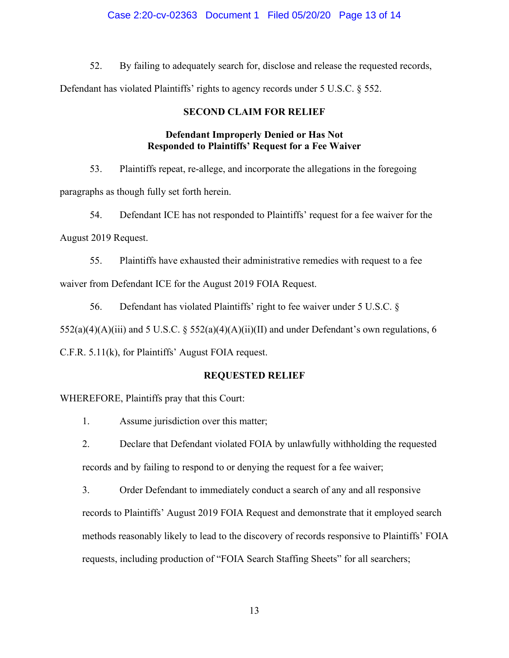# Case 2:20-cv-02363 Document 1 Filed 05/20/20 Page 13 of 14

52. By failing to adequately search for, disclose and release the requested records,

Defendant has violated Plaintiffs' rights to agency records under 5 U.S.C. § 552.

# **SECOND CLAIM FOR RELIEF**

# **Defendant Improperly Denied or Has Not Responded to Plaintiffs' Request for a Fee Waiver**

53. Plaintiffs repeat, re-allege, and incorporate the allegations in the foregoing paragraphs as though fully set forth herein.

54. Defendant ICE has not responded to Plaintiffs' request for a fee waiver for the August 2019 Request.

55. Plaintiffs have exhausted their administrative remedies with request to a fee waiver from Defendant ICE for the August 2019 FOIA Request.

56. Defendant has violated Plaintiffs' right to fee waiver under 5 U.S.C. §

 $552(a)(4)(A)(iii)$  and  $5 U.S.C. § 552(a)(4)(A)(ii)(II)$  and under Defendant's own regulations, 6

C.F.R. 5.11(k), for Plaintiffs' August FOIA request.

### **REQUESTED RELIEF**

WHEREFORE, Plaintiffs pray that this Court:

1. Assume jurisdiction over this matter;

2. Declare that Defendant violated FOIA by unlawfully withholding the requested records and by failing to respond to or denying the request for a fee waiver;

3. Order Defendant to immediately conduct a search of any and all responsive records to Plaintiffs' August 2019 FOIA Request and demonstrate that it employed search methods reasonably likely to lead to the discovery of records responsive to Plaintiffs' FOIA requests, including production of "FOIA Search Staffing Sheets" for all searchers;